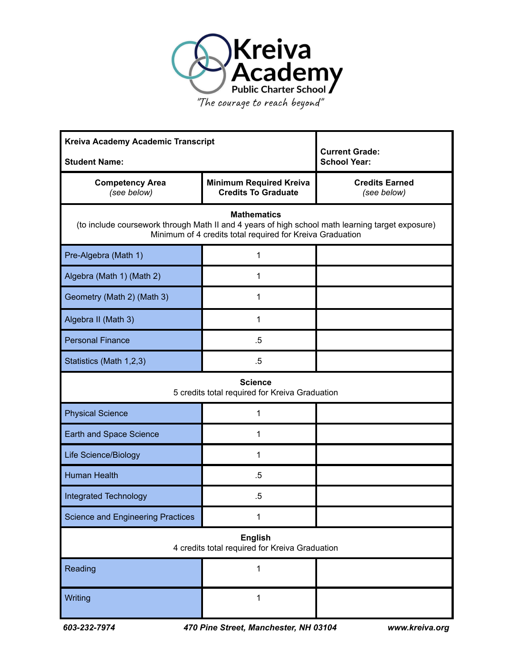

"The courage to reach beyond"

| Kreiva Academy Academic Transcript<br><b>Student Name:</b>                                                                                                                          |                                                              | <b>Current Grade:</b><br><b>School Year:</b> |  |
|-------------------------------------------------------------------------------------------------------------------------------------------------------------------------------------|--------------------------------------------------------------|----------------------------------------------|--|
| <b>Competency Area</b><br>(see below)                                                                                                                                               | <b>Minimum Required Kreiva</b><br><b>Credits To Graduate</b> | <b>Credits Earned</b><br>(see below)         |  |
| <b>Mathematics</b><br>(to include coursework through Math II and 4 years of high school math learning target exposure)<br>Minimum of 4 credits total required for Kreiva Graduation |                                                              |                                              |  |
| Pre-Algebra (Math 1)                                                                                                                                                                | 1                                                            |                                              |  |
| Algebra (Math 1) (Math 2)                                                                                                                                                           | 1                                                            |                                              |  |
| Geometry (Math 2) (Math 3)                                                                                                                                                          | 1                                                            |                                              |  |
| Algebra II (Math 3)                                                                                                                                                                 | 1                                                            |                                              |  |
| <b>Personal Finance</b>                                                                                                                                                             | .5                                                           |                                              |  |
| Statistics (Math 1,2,3)                                                                                                                                                             | $.5\,$                                                       |                                              |  |
| <b>Science</b><br>5 credits total required for Kreiva Graduation                                                                                                                    |                                                              |                                              |  |
| <b>Physical Science</b>                                                                                                                                                             | 1                                                            |                                              |  |
| Earth and Space Science                                                                                                                                                             | 1                                                            |                                              |  |
| <b>Life Science/Biology</b>                                                                                                                                                         | 1                                                            |                                              |  |
| <b>Human Health</b>                                                                                                                                                                 | .5                                                           |                                              |  |
| <b>Integrated Technology</b>                                                                                                                                                        | $.5\,$                                                       |                                              |  |
| <b>Science and Engineering Practices</b>                                                                                                                                            | 1                                                            |                                              |  |
| <b>English</b><br>4 credits total required for Kreiva Graduation                                                                                                                    |                                                              |                                              |  |
| Reading                                                                                                                                                                             | 1                                                            |                                              |  |
| Writing                                                                                                                                                                             | 1                                                            |                                              |  |